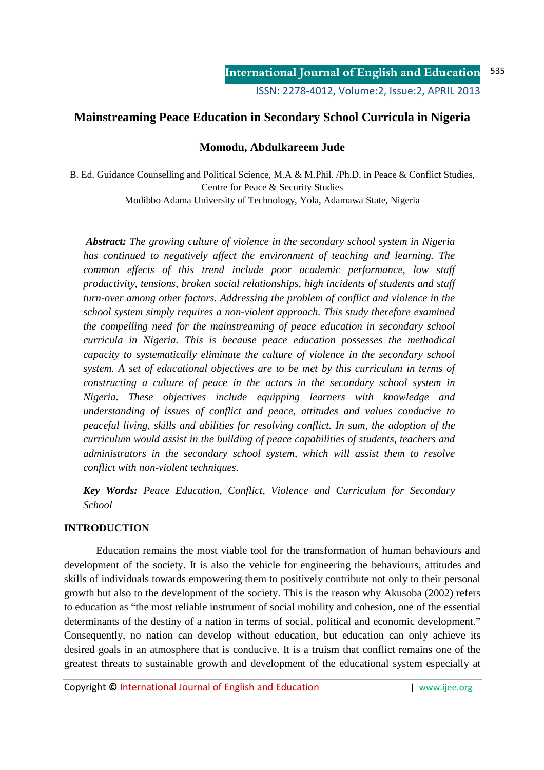# **Mainstreaming Peace Education in Secondary School Curricula in Nigeria**

## **Momodu, Abdulkareem Jude**

B. Ed. Guidance Counselling and Political Science, M.A & M.Phil. /Ph.D. in Peace & Conflict Studies, Centre for Peace & Security Studies Modibbo Adama University of Technology, Yola, Adamawa State, Nigeria

*Abstract: The growing culture of violence in the secondary school system in Nigeria has continued to negatively affect the environment of teaching and learning. The common effects of this trend include poor academic performance, low staff productivity, tensions, broken social relationships, high incidents of students and staff turn-over among other factors. Addressing the problem of conflict and violence in the school system simply requires a non-violent approach. This study therefore examined the compelling need for the mainstreaming of peace education in secondary school curricula in Nigeria. This is because peace education possesses the methodical capacity to systematically eliminate the culture of violence in the secondary school system. A set of educational objectives are to be met by this curriculum in terms of constructing a culture of peace in the actors in the secondary school system in Nigeria. These objectives include equipping learners with knowledge and understanding of issues of conflict and peace, attitudes and values conducive to peaceful living, skills and abilities for resolving conflict. In sum, the adoption of the curriculum would assist in the building of peace capabilities of students, teachers and administrators in the secondary school system, which will assist them to resolve conflict with non-violent techniques.* 

*Key Words: Peace Education, Conflict, Violence and Curriculum for Secondary School*

### **INTRODUCTION**

Education remains the most viable tool for the transformation of human behaviours and development of the society. It is also the vehicle for engineering the behaviours, attitudes and skills of individuals towards empowering them to positively contribute not only to their personal growth but also to the development of the society. This is the reason why Akusoba (2002) refers to education as "the most reliable instrument of social mobility and cohesion, one of the essential determinants of the destiny of a nation in terms of social, political and economic development." Consequently, no nation can develop without education, but education can only achieve its desired goals in an atmosphere that is conducive. It is a truism that conflict remains one of the greatest threats to sustainable growth and development of the educational system especially at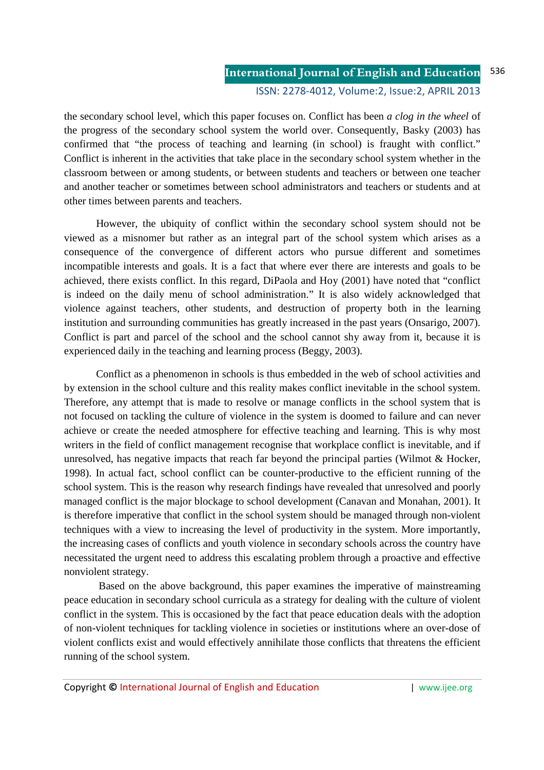the secondary school level, which this paper focuses on. Conflict has been *a clog in the wheel* of the progress of the secondary school system the world over. Consequently, Basky (2003) has confirmed that "the process of teaching and learning (in school) is fraught with conflict." Conflict is inherent in the activities that take place in the secondary school system whether in the classroom between or among students, or between students and teachers or between one teacher and another teacher or sometimes between school administrators and teachers or students and at other times between parents and teachers.

However, the ubiquity of conflict within the secondary school system should not be viewed as a misnomer but rather as an integral part of the school system which arises as a consequence of the convergence of different actors who pursue different and sometimes incompatible interests and goals. It is a fact that where ever there are interests and goals to be achieved, there exists conflict. In this regard, DiPaola and Hoy (2001) have noted that "conflict is indeed on the daily menu of school administration." It is also widely acknowledged that violence against teachers, other students, and destruction of property both in the learning institution and surrounding communities has greatly increased in the past years (Onsarigo, 2007). Conflict is part and parcel of the school and the school cannot shy away from it, because it is experienced daily in the teaching and learning process (Beggy, 2003).

 Conflict as a phenomenon in schools is thus embedded in the web of school activities and by extension in the school culture and this reality makes conflict inevitable in the school system. Therefore, any attempt that is made to resolve or manage conflicts in the school system that is not focused on tackling the culture of violence in the system is doomed to failure and can never achieve or create the needed atmosphere for effective teaching and learning. This is why most writers in the field of conflict management recognise that workplace conflict is inevitable, and if unresolved, has negative impacts that reach far beyond the principal parties (Wilmot & Hocker, 1998). In actual fact, school conflict can be counter-productive to the efficient running of the school system. This is the reason why research findings have revealed that unresolved and poorly managed conflict is the major blockage to school development (Canavan and Monahan, 2001). It is therefore imperative that conflict in the school system should be managed through non-violent techniques with a view to increasing the level of productivity in the system. More importantly, the increasing cases of conflicts and youth violence in secondary schools across the country have necessitated the urgent need to address this escalating problem through a proactive and effective nonviolent strategy.

 Based on the above background, this paper examines the imperative of mainstreaming peace education in secondary school curricula as a strategy for dealing with the culture of violent conflict in the system. This is occasioned by the fact that peace education deals with the adoption of non-violent techniques for tackling violence in societies or institutions where an over-dose of violent conflicts exist and would effectively annihilate those conflicts that threatens the efficient running of the school system.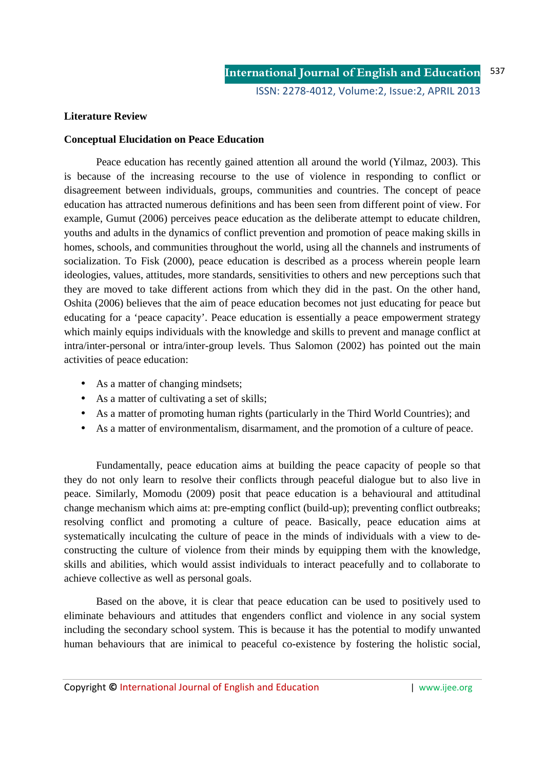#### **Literature Review**

#### **Conceptual Elucidation on Peace Education**

 Peace education has recently gained attention all around the world (Yilmaz, 2003). This is because of the increasing recourse to the use of violence in responding to conflict or disagreement between individuals, groups, communities and countries. The concept of peace education has attracted numerous definitions and has been seen from different point of view. For example, Gumut (2006) perceives peace education as the deliberate attempt to educate children, youths and adults in the dynamics of conflict prevention and promotion of peace making skills in homes, schools, and communities throughout the world, using all the channels and instruments of socialization. To Fisk (2000), peace education is described as a process wherein people learn ideologies, values, attitudes, more standards, sensitivities to others and new perceptions such that they are moved to take different actions from which they did in the past. On the other hand, Oshita (2006) believes that the aim of peace education becomes not just educating for peace but educating for a 'peace capacity'. Peace education is essentially a peace empowerment strategy which mainly equips individuals with the knowledge and skills to prevent and manage conflict at intra/inter-personal or intra/inter-group levels. Thus Salomon (2002) has pointed out the main activities of peace education:

- As a matter of changing mindsets;
- As a matter of cultivating a set of skills:
- As a matter of promoting human rights (particularly in the Third World Countries); and
- As a matter of environmentalism, disarmament, and the promotion of a culture of peace.

 Fundamentally, peace education aims at building the peace capacity of people so that they do not only learn to resolve their conflicts through peaceful dialogue but to also live in peace. Similarly, Momodu (2009) posit that peace education is a behavioural and attitudinal change mechanism which aims at: pre-empting conflict (build-up); preventing conflict outbreaks; resolving conflict and promoting a culture of peace. Basically, peace education aims at systematically inculcating the culture of peace in the minds of individuals with a view to deconstructing the culture of violence from their minds by equipping them with the knowledge, skills and abilities, which would assist individuals to interact peacefully and to collaborate to achieve collective as well as personal goals.

Based on the above, it is clear that peace education can be used to positively used to eliminate behaviours and attitudes that engenders conflict and violence in any social system including the secondary school system. This is because it has the potential to modify unwanted human behaviours that are inimical to peaceful co-existence by fostering the holistic social,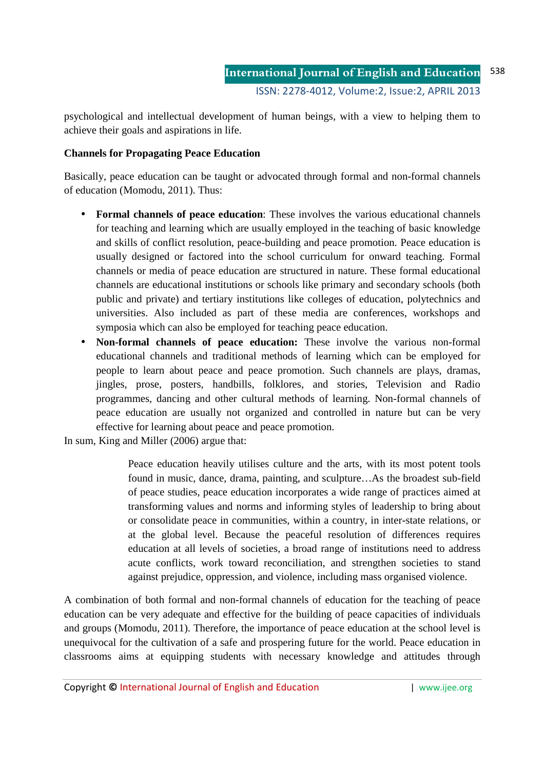psychological and intellectual development of human beings, with a view to helping them to achieve their goals and aspirations in life.

## **Channels for Propagating Peace Education**

Basically, peace education can be taught or advocated through formal and non-formal channels of education (Momodu, 2011). Thus:

- **Formal channels of peace education**: These involves the various educational channels for teaching and learning which are usually employed in the teaching of basic knowledge and skills of conflict resolution, peace-building and peace promotion. Peace education is usually designed or factored into the school curriculum for onward teaching. Formal channels or media of peace education are structured in nature. These formal educational channels are educational institutions or schools like primary and secondary schools (both public and private) and tertiary institutions like colleges of education, polytechnics and universities. Also included as part of these media are conferences, workshops and symposia which can also be employed for teaching peace education.
- **Non-formal channels of peace education:** These involve the various non-formal educational channels and traditional methods of learning which can be employed for people to learn about peace and peace promotion. Such channels are plays, dramas, jingles, prose, posters, handbills, folklores, and stories, Television and Radio programmes, dancing and other cultural methods of learning. Non-formal channels of peace education are usually not organized and controlled in nature but can be very effective for learning about peace and peace promotion.

In sum, King and Miller (2006) argue that:

Peace education heavily utilises culture and the arts, with its most potent tools found in music, dance, drama, painting, and sculpture…As the broadest sub-field of peace studies, peace education incorporates a wide range of practices aimed at transforming values and norms and informing styles of leadership to bring about or consolidate peace in communities, within a country, in inter-state relations, or at the global level. Because the peaceful resolution of differences requires education at all levels of societies, a broad range of institutions need to address acute conflicts, work toward reconciliation, and strengthen societies to stand against prejudice, oppression, and violence, including mass organised violence.

A combination of both formal and non-formal channels of education for the teaching of peace education can be very adequate and effective for the building of peace capacities of individuals and groups (Momodu, 2011). Therefore, the importance of peace education at the school level is unequivocal for the cultivation of a safe and prospering future for the world. Peace education in classrooms aims at equipping students with necessary knowledge and attitudes through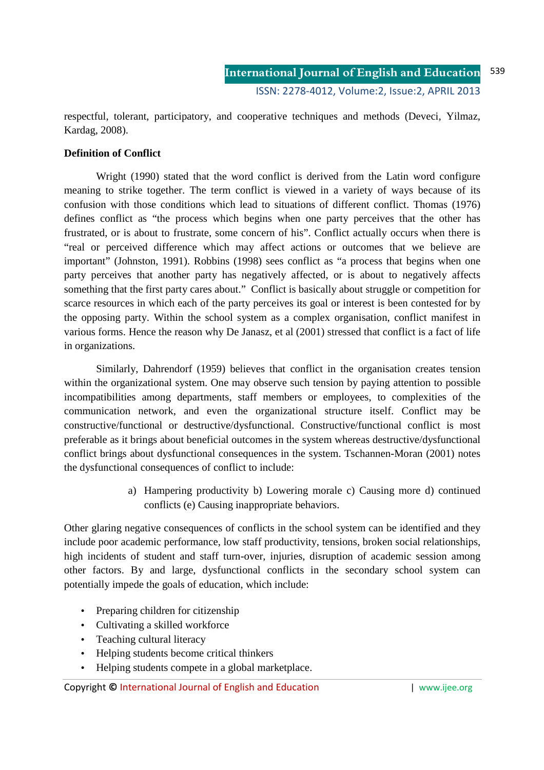respectful, tolerant, participatory, and cooperative techniques and methods (Deveci, Yilmaz, Kardag, 2008).

## **Definition of Conflict**

 Wright (1990) stated that the word conflict is derived from the Latin word configure meaning to strike together. The term conflict is viewed in a variety of ways because of its confusion with those conditions which lead to situations of different conflict. Thomas (1976) defines conflict as "the process which begins when one party perceives that the other has frustrated, or is about to frustrate, some concern of his". Conflict actually occurs when there is "real or perceived difference which may affect actions or outcomes that we believe are important" (Johnston, 1991). Robbins (1998) sees conflict as "a process that begins when one party perceives that another party has negatively affected, or is about to negatively affects something that the first party cares about." Conflict is basically about struggle or competition for scarce resources in which each of the party perceives its goal or interest is been contested for by the opposing party. Within the school system as a complex organisation, conflict manifest in various forms. Hence the reason why De Janasz, et al (2001) stressed that conflict is a fact of life in organizations.

 Similarly, Dahrendorf (1959) believes that conflict in the organisation creates tension within the organizational system. One may observe such tension by paying attention to possible incompatibilities among departments, staff members or employees, to complexities of the communication network, and even the organizational structure itself. Conflict may be constructive/functional or destructive/dysfunctional. Constructive/functional conflict is most preferable as it brings about beneficial outcomes in the system whereas destructive/dysfunctional conflict brings about dysfunctional consequences in the system. Tschannen-Moran (2001) notes the dysfunctional consequences of conflict to include:

> a) Hampering productivity b) Lowering morale c) Causing more d) continued conflicts (e) Causing inappropriate behaviors.

Other glaring negative consequences of conflicts in the school system can be identified and they include poor academic performance, low staff productivity, tensions, broken social relationships, high incidents of student and staff turn-over, injuries, disruption of academic session among other factors. By and large, dysfunctional conflicts in the secondary school system can potentially impede the goals of education, which include:

- Preparing children for citizenship
- Cultivating a skilled workforce
- Teaching cultural literacy
- Helping students become critical thinkers
- Helping students compete in a global marketplace.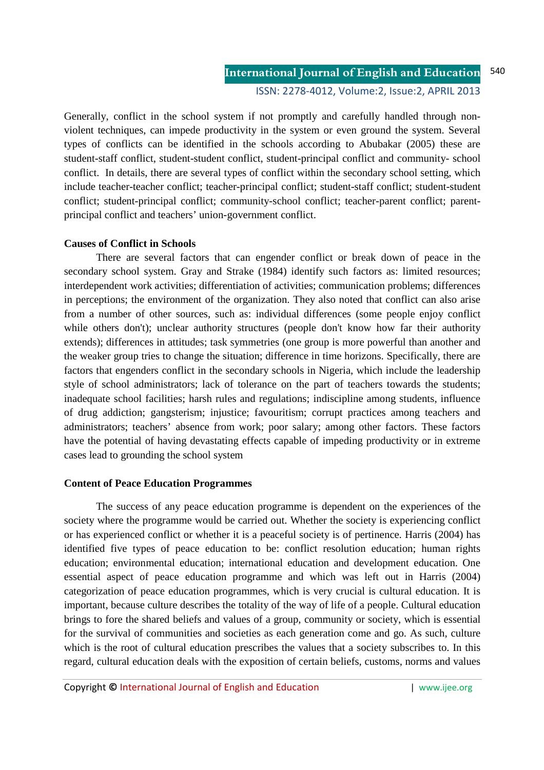Generally, conflict in the school system if not promptly and carefully handled through nonviolent techniques, can impede productivity in the system or even ground the system. Several types of conflicts can be identified in the schools according to Abubakar (2005) these are student-staff conflict, student-student conflict, student-principal conflict and community- school conflict. In details, there are several types of conflict within the secondary school setting, which include teacher-teacher conflict; teacher-principal conflict; student-staff conflict; student-student conflict; student-principal conflict; community-school conflict; teacher-parent conflict; parentprincipal conflict and teachers' union-government conflict.

#### **Causes of Conflict in Schools**

 There are several factors that can engender conflict or break down of peace in the secondary school system. Gray and Strake (1984) identify such factors as: limited resources; interdependent work activities; differentiation of activities; communication problems; differences in perceptions; the environment of the organization. They also noted that conflict can also arise from a number of other sources, such as: individual differences (some people enjoy conflict while others don't); unclear authority structures (people don't know how far their authority extends); differences in attitudes; task symmetries (one group is more powerful than another and the weaker group tries to change the situation; difference in time horizons. Specifically, there are factors that engenders conflict in the secondary schools in Nigeria, which include the leadership style of school administrators; lack of tolerance on the part of teachers towards the students; inadequate school facilities; harsh rules and regulations; indiscipline among students, influence of drug addiction; gangsterism; injustice; favouritism; corrupt practices among teachers and administrators; teachers' absence from work; poor salary; among other factors. These factors have the potential of having devastating effects capable of impeding productivity or in extreme cases lead to grounding the school system

### **Content of Peace Education Programmes**

 The success of any peace education programme is dependent on the experiences of the society where the programme would be carried out. Whether the society is experiencing conflict or has experienced conflict or whether it is a peaceful society is of pertinence. Harris (2004) has identified five types of peace education to be: conflict resolution education; human rights education; environmental education; international education and development education. One essential aspect of peace education programme and which was left out in Harris (2004) categorization of peace education programmes, which is very crucial is cultural education. It is important, because culture describes the totality of the way of life of a people. Cultural education brings to fore the shared beliefs and values of a group, community or society, which is essential for the survival of communities and societies as each generation come and go. As such, culture which is the root of cultural education prescribes the values that a society subscribes to. In this regard, cultural education deals with the exposition of certain beliefs, customs, norms and values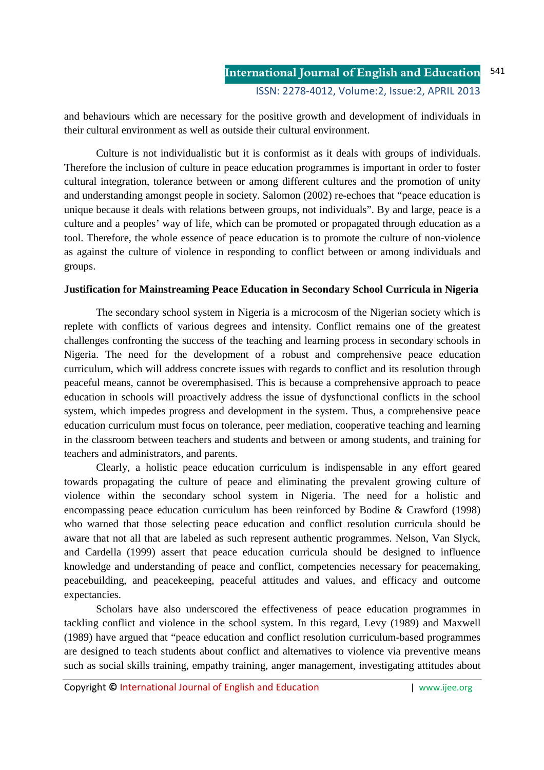and behaviours which are necessary for the positive growth and development of individuals in their cultural environment as well as outside their cultural environment.

 Culture is not individualistic but it is conformist as it deals with groups of individuals. Therefore the inclusion of culture in peace education programmes is important in order to foster cultural integration, tolerance between or among different cultures and the promotion of unity and understanding amongst people in society. Salomon (2002) re-echoes that "peace education is unique because it deals with relations between groups, not individuals". By and large, peace is a culture and a peoples' way of life, which can be promoted or propagated through education as a tool. Therefore, the whole essence of peace education is to promote the culture of non-violence as against the culture of violence in responding to conflict between or among individuals and groups.

#### **Justification for Mainstreaming Peace Education in Secondary School Curricula in Nigeria**

 The secondary school system in Nigeria is a microcosm of the Nigerian society which is replete with conflicts of various degrees and intensity. Conflict remains one of the greatest challenges confronting the success of the teaching and learning process in secondary schools in Nigeria. The need for the development of a robust and comprehensive peace education curriculum, which will address concrete issues with regards to conflict and its resolution through peaceful means, cannot be overemphasised. This is because a comprehensive approach to peace education in schools will proactively address the issue of dysfunctional conflicts in the school system, which impedes progress and development in the system. Thus, a comprehensive peace education curriculum must focus on tolerance, peer mediation, cooperative teaching and learning in the classroom between teachers and students and between or among students, and training for teachers and administrators, and parents.

 Clearly, a holistic peace education curriculum is indispensable in any effort geared towards propagating the culture of peace and eliminating the prevalent growing culture of violence within the secondary school system in Nigeria. The need for a holistic and encompassing peace education curriculum has been reinforced by Bodine & Crawford (1998) who warned that those selecting peace education and conflict resolution curricula should be aware that not all that are labeled as such represent authentic programmes. Nelson, Van Slyck, and Cardella (1999) assert that peace education curricula should be designed to influence knowledge and understanding of peace and conflict, competencies necessary for peacemaking, peacebuilding, and peacekeeping, peaceful attitudes and values, and efficacy and outcome expectancies.

 Scholars have also underscored the effectiveness of peace education programmes in tackling conflict and violence in the school system. In this regard, Levy (1989) and Maxwell (1989) have argued that "peace education and conflict resolution curriculum-based programmes are designed to teach students about conflict and alternatives to violence via preventive means such as social skills training, empathy training, anger management, investigating attitudes about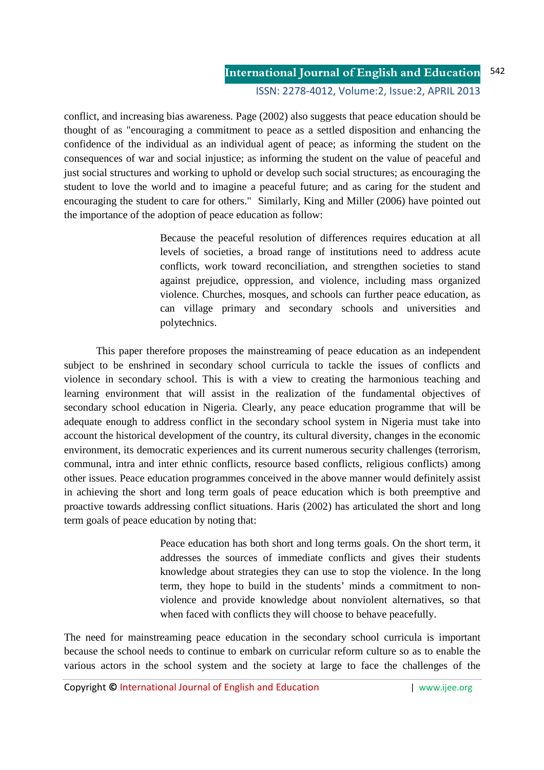conflict, and increasing bias awareness. Page (2002) also suggests that peace education should be thought of as "encouraging a commitment to peace as a settled disposition and enhancing the confidence of the individual as an individual agent of peace; as informing the student on the consequences of war and social injustice; as informing the student on the value of peaceful and just social structures and working to uphold or develop such social structures; as encouraging the student to love the world and to imagine a peaceful future; and as caring for the student and encouraging the student to care for others." Similarly, King and Miller (2006) have pointed out the importance of the adoption of peace education as follow:

> Because the peaceful resolution of differences requires education at all levels of societies, a broad range of institutions need to address acute conflicts, work toward reconciliation, and strengthen societies to stand against prejudice, oppression, and violence, including mass organized violence. Churches, mosques, and schools can further peace education, as can village primary and secondary schools and universities and polytechnics.

 This paper therefore proposes the mainstreaming of peace education as an independent subject to be enshrined in secondary school curricula to tackle the issues of conflicts and violence in secondary school. This is with a view to creating the harmonious teaching and learning environment that will assist in the realization of the fundamental objectives of secondary school education in Nigeria. Clearly, any peace education programme that will be adequate enough to address conflict in the secondary school system in Nigeria must take into account the historical development of the country, its cultural diversity, changes in the economic environment, its democratic experiences and its current numerous security challenges (terrorism, communal, intra and inter ethnic conflicts, resource based conflicts, religious conflicts) among other issues. Peace education programmes conceived in the above manner would definitely assist in achieving the short and long term goals of peace education which is both preemptive and proactive towards addressing conflict situations. Haris (2002) has articulated the short and long term goals of peace education by noting that:

> Peace education has both short and long terms goals. On the short term, it addresses the sources of immediate conflicts and gives their students knowledge about strategies they can use to stop the violence. In the long term, they hope to build in the students' minds a commitment to nonviolence and provide knowledge about nonviolent alternatives, so that when faced with conflicts they will choose to behave peacefully.

The need for mainstreaming peace education in the secondary school curricula is important because the school needs to continue to embark on curricular reform culture so as to enable the various actors in the school system and the society at large to face the challenges of the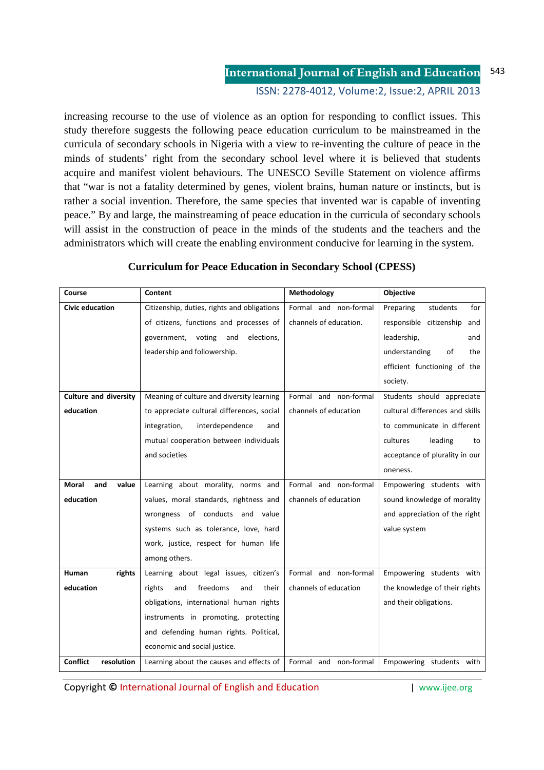#### **International Journal of English and Education** 543

ISSN: 2278-4012, Volume:2, Issue:2, APRIL 2013

increasing recourse to the use of violence as an option for responding to conflict issues. This study therefore suggests the following peace education curriculum to be mainstreamed in the curricula of secondary schools in Nigeria with a view to re-inventing the culture of peace in the minds of students' right from the secondary school level where it is believed that students acquire and manifest violent behaviours. The UNESCO Seville Statement on violence affirms that "war is not a fatality determined by genes, violent brains, human nature or instincts, but is rather a social invention. Therefore, the same species that invented war is capable of inventing peace." By and large, the mainstreaming of peace education in the curricula of secondary schools will assist in the construction of peace in the minds of the students and the teachers and the administrators which will create the enabling environment conducive for learning in the system.

| Course                        | Content                                     | Methodology                 | Objective                       |
|-------------------------------|---------------------------------------------|-----------------------------|---------------------------------|
| <b>Civic education</b>        | Citizenship, duties, rights and obligations | Formal and non-formal       | Preparing<br>students<br>for    |
|                               | of citizens, functions and processes of     | channels of education.      | responsible citizenship<br>and  |
|                               | government, voting<br>and<br>elections,     |                             | leadership,<br>and              |
|                               | leadership and followership.                |                             | understanding<br>οf<br>the      |
|                               |                                             |                             | efficient functioning of the    |
|                               |                                             |                             | society.                        |
| <b>Culture and diversity</b>  | Meaning of culture and diversity learning   | Formal and non-formal       | Students should appreciate      |
| education                     | to appreciate cultural differences, social  | channels of education       | cultural differences and skills |
|                               | interdependence<br>integration,<br>and      |                             | to communicate in different     |
|                               | mutual cooperation between individuals      |                             | cultures<br>leading<br>to       |
|                               | and societies                               |                             | acceptance of plurality in our  |
|                               |                                             |                             | oneness.                        |
| Moral<br>and<br>value         | Learning about morality, norms and          | Formal and non-formal       | Empowering students with        |
| education                     | values, moral standards, rightness and      | channels of education       | sound knowledge of morality     |
|                               | wrongness of conducts and value             |                             | and appreciation of the right   |
|                               | systems such as tolerance, love, hard       |                             | value system                    |
|                               | work, justice, respect for human life       |                             |                                 |
|                               | among others.                               |                             |                                 |
| rights<br>Human               | Learning about legal issues, citizen's      | Formal and non-formal       | Empowering students with        |
| education                     | freedoms<br>rights<br>and<br>and<br>their   | channels of education       | the knowledge of their rights   |
|                               | obligations, international human rights     |                             | and their obligations.          |
|                               | instruments in promoting, protecting        |                             |                                 |
|                               | and defending human rights. Political,      |                             |                                 |
|                               | economic and social justice.                |                             |                                 |
| <b>Conflict</b><br>resolution | Learning about the causes and effects of    | non-formal<br>Formal<br>and | Empowering students with        |

#### **Curriculum for Peace Education in Secondary School (CPESS)**

Copyright © International Journal of English and Education **Fig. 1** www.ijee.org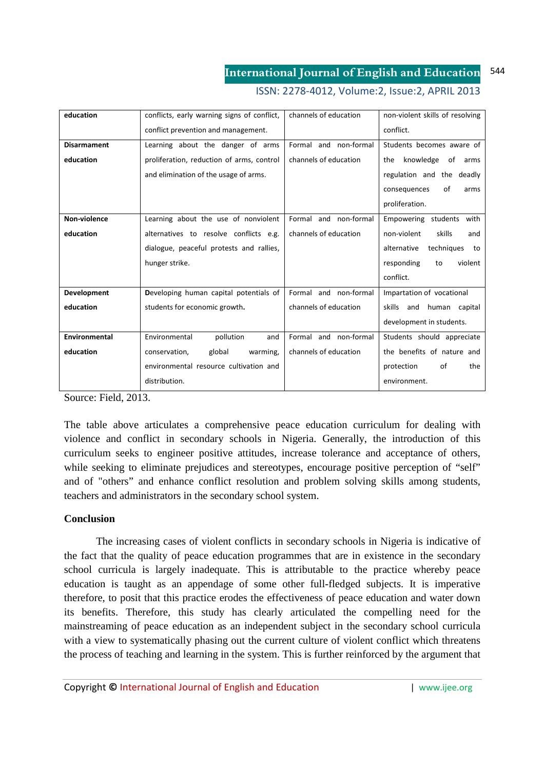#### **International Journal of English and Education** 544

| education            | conflicts, early warning signs of conflict, | channels of education | non-violent skills of resolving |
|----------------------|---------------------------------------------|-----------------------|---------------------------------|
|                      | conflict prevention and management.         |                       | conflict.                       |
| <b>Disarmament</b>   | Learning about the danger of arms           | Formal and non-formal | Students becomes aware of       |
| education            | proliferation, reduction of arms, control   | channels of education | knowledge<br>the<br>of<br>arms  |
|                      | and elimination of the usage of arms.       |                       | regulation and the deadly       |
|                      |                                             |                       | of<br>consequences<br>arms      |
|                      |                                             |                       | proliferation.                  |
| Non-violence         | Learning about the use of nonviolent        | Formal and non-formal | Empowering students<br>with     |
| education            | alternatives to resolve conflicts e.g.      | channels of education | non-violent<br>skills<br>and    |
|                      | dialogue, peaceful protests and rallies,    |                       | techniques<br>alternative<br>to |
|                      | hunger strike.                              |                       | responding<br>violent<br>to     |
|                      |                                             |                       | conflict.                       |
| Development          | Developing human capital potentials of      | Formal and non-formal | Impartation of vocational       |
| education            | students for economic growth.               | channels of education | and human capital<br>skills     |
|                      |                                             |                       | development in students.        |
| <b>Environmental</b> | Environmental<br>pollution<br>and           | Formal and non-formal | Students should appreciate      |
| education            | global<br>conservation,<br>warming,         | channels of education | the benefits of nature and      |
|                      | environmental resource cultivation and      |                       | οf<br>protection<br>the         |
|                      | distribution.                               |                       | environment.                    |

#### ISSN: 2278-4012, Volume:2, Issue:2, APRIL 2013

Source: Field, 2013.

The table above articulates a comprehensive peace education curriculum for dealing with violence and conflict in secondary schools in Nigeria. Generally, the introduction of this curriculum seeks to engineer positive attitudes, increase tolerance and acceptance of others, while seeking to eliminate prejudices and stereotypes, encourage positive perception of "self" and of "others" and enhance conflict resolution and problem solving skills among students, teachers and administrators in the secondary school system.

#### **Conclusion**

 The increasing cases of violent conflicts in secondary schools in Nigeria is indicative of the fact that the quality of peace education programmes that are in existence in the secondary school curricula is largely inadequate. This is attributable to the practice whereby peace education is taught as an appendage of some other full-fledged subjects. It is imperative therefore, to posit that this practice erodes the effectiveness of peace education and water down its benefits. Therefore, this study has clearly articulated the compelling need for the mainstreaming of peace education as an independent subject in the secondary school curricula with a view to systematically phasing out the current culture of violent conflict which threatens the process of teaching and learning in the system. This is further reinforced by the argument that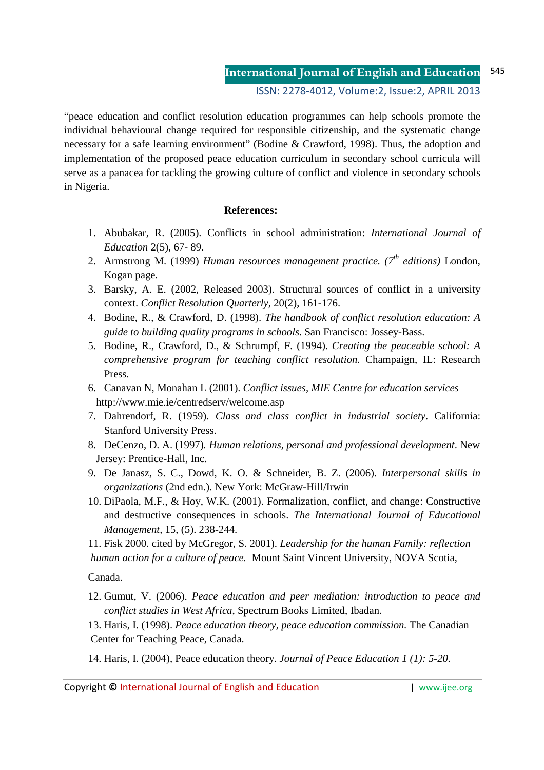"peace education and conflict resolution education programmes can help schools promote the individual behavioural change required for responsible citizenship, and the systematic change necessary for a safe learning environment" (Bodine & Crawford, 1998). Thus, the adoption and implementation of the proposed peace education curriculum in secondary school curricula will serve as a panacea for tackling the growing culture of conflict and violence in secondary schools in Nigeria.

#### **References:**

- 1. Abubakar, R. (2005). Conflicts in school administration: *International Journal of Education* 2(5), 67- 89.
- 2. Armstrong M. (1999) *Human resources management practice. (7th editions)* London, Kogan page.
- 3. Barsky, A. E. (2002, Released 2003). Structural sources of conflict in a university context. *Conflict Resolution Quarterly*, 20(2), 161-176.
- 4. Bodine, R., & Crawford, D. (1998). *The handbook of conflict resolution education: A guide to building quality programs in schools*. San Francisco: Jossey-Bass.
- 5. Bodine, R., Crawford, D., & Schrumpf, F. (1994). *Creating the peaceable school: A comprehensive program for teaching conflict resolution.* Champaign, IL: Research Press.
- 6. Canavan N, Monahan L (2001). *Conflict issues, MIE Centre for education services* http://www.mie.ie/centredserv/welcome.asp
- 7. Dahrendorf, R. (1959). *Class and class conflict in industrial society*. California: Stanford University Press.
- 8. DeCenzo, D. A. (1997)*. Human relations, personal and professional development*. New Jersey: Prentice-Hall, Inc.
- 9. De Janasz, S. C., Dowd, K. O. & Schneider, B. Z. (2006). *Interpersonal skills in organizations* (2nd edn.). New York: McGraw-Hill/Irwin
- 10. DiPaola, M.F., & Hoy, W.K. (2001). Formalization, conflict, and change: Constructive and destructive consequences in schools. *The International Journal of Educational Management,* 15, (5). 238-244.

11. Fisk 2000. cited by McGregor, S. 2001). *Leadership for the human Family: reflection human action for a culture of peace.* Mount Saint Vincent University, NOVA Scotia,

Canada.

- 12. Gumut, V. (2006). *Peace education and peer mediation: introduction to peace and conflict studies in West Africa*, Spectrum Books Limited, Ibadan.
- 13. Haris, I. (1998). *Peace education theory, peace education commission.* The Canadian Center for Teaching Peace, Canada.

14. Haris, I. (2004), Peace education theory. *Journal of Peace Education 1 (1): 5-20.*